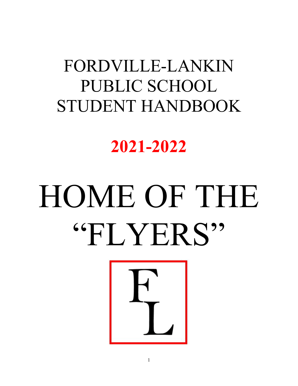## FORDVILLE-LANKIN PUBLIC SCHOOL STUDENT HANDBOOK

**2021-2022**

# HOME OF THE "FLYERS"

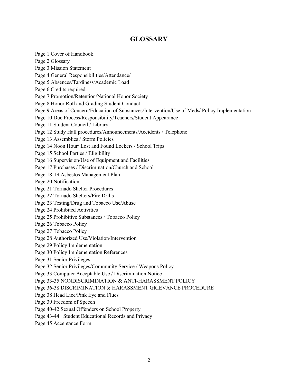#### **GLOSSARY**

Page 1 Cover of Handbook Page 2 Glossary Page 3 Mission Statement Page 4 General Responsibilities/Attendance/ Page 5 Absences/Tardiness/Academic Load Page 6 Credits required Page 7 Promotion/Retention/National Honor Society Page 8 Honor Roll and Grading Student Conduct Page 9 Areas of Concern/Education of Substances/Intervention/Use of Meds/ Policy Implementation Page 10 Due Process/Responsibility/Teachers/Student Appearance Page 11 Student Council / Library Page 12 Study Hall procedures/Announcements/Accidents / Telephone Page 13 Assemblies / Storm Policies Page 14 Noon Hour/ Lost and Found Lockers / School Trips Page 15 School Parties / Eligibility Page 16 Supervision/Use of Equipment and Facilities Page 17 Purchases / Discrimination/Church and School Page 18-19 Asbestos Management Plan Page 20 Notification Page 21 Tornado Shelter Procedures Page 22 Tornado Shelters/Fire Drills Page 23 Testing/Drug and Tobacco Use/Abuse Page 24 Prohibited Activities Page 25 Prohibitive Substances / Tobacco Policy Page 26 Tobacco Policy Page 27 Tobacco Policy Page 28 Authorized Use/Violation/Intervention Page 29 Policy Implementation Page 30 Policy Implementation References Page 31 Senior Privileges Page 32 Senior Privileges/Community Service / Weapons Policy Page 33 Computer Acceptable Use / Discrimination Notice Page 33-35 NONDISCRIMINATION & ANTI-HARASSMENT POLICY Page 36-38 DISCRIMINATION & HARASSMENT GRIEVANCE PROCEDURE Page 38 Head Lice/Pink Eye and Flues Page 39 Freedom of Speech Page 40-42 Sexual Offenders on School Property Page 43-44 Student Educational Records and Privacy

Page 45 Acceptance Form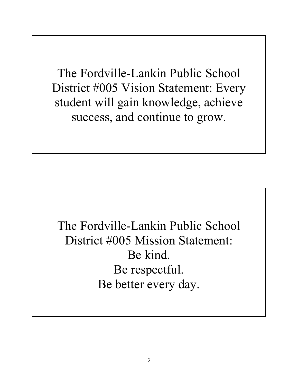The Fordville-Lankin Public School District #005 Vision Statement: Every student will gain knowledge, achieve success, and continue to grow.

The Fordville-Lankin Public School District #005 Mission Statement: Be kind. Be respectful. Be better every day.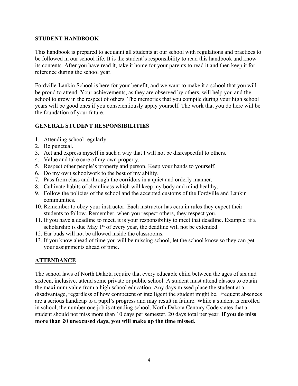#### **STUDENT HANDBOOK**

This handbook is prepared to acquaint all students at our school with regulations and practices to be followed in our school life. It is the student's responsibility to read this handbook and know its contents. After you have read it, take it home for your parents to read it and then keep it for reference during the school year.

Fordville-Lankin School is here for your benefit, and we want to make it a school that you will be proud to attend. Your achievements, as they are observed by others, will help you and the school to grow in the respect of others. The memories that you compile during your high school years will be good ones if you conscientiously apply yourself. The work that you do here will be the foundation of your future.

#### **GENERAL STUDENT RESPONSIBILITIES**

- 1. Attending school regularly.
- 2. Be punctual.
- 3. Act and express myself in such a way that I will not be disrespectful to others.
- 4. Value and take care of my own property.
- 5. Respect other people's property and person. Keep your hands to yourself.
- 6. Do my own schoolwork to the best of my ability.
- 7. Pass from class and through the corridors in a quiet and orderly manner.
- 8. Cultivate habits of cleanliness which will keep my body and mind healthy.
- 9. Follow the policies of the school and the accepted customs of the Fordville and Lankin communities.
- 10. Remember to obey your instructor. Each instructor has certain rules they expect their students to follow. Remember, when you respect others, they respect you.
- 11. If you have a deadline to meet, it is your responsibility to meet that deadline. Example, if a scholarship is due May  $1<sup>st</sup>$  of every year, the deadline will not be extended.
- 12. Ear buds will not be allowed inside the classrooms.
- 13. If you know ahead of time you will be missing school, let the school know so they can get your assignments ahead of time.

#### **ATTENDANCE**

The school laws of North Dakota require that every educable child between the ages of six and sixteen, inclusive, attend some private or public school. A student must attend classes to obtain the maximum value from a high school education. Any days missed place the student at a disadvantage, regardless of how competent or intelligent the student might be. Frequent absences are a serious handicap to a pupil's progress and may result in failure. While a student is enrolled in school, the number one job is attending school. North Dakota Century Code states that a student should not miss more than 10 days per semester, 20 days total per year. **If you do miss more than 20 unexcused days, you will make up the time missed.**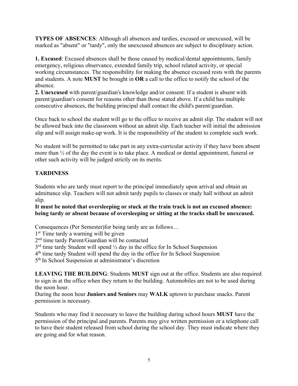**TYPES OF ABSENCES**: Although all absences and tardies, excused or unexcused, will be marked as "absent" or "tardy", only the unexcused absences are subject to disciplinary action.

**1. Excused**: Excused absences shall be those caused by medical/dental appointments, family emergency, religious observance, extended family trip, school related activity, or special working circumstances. The responsibility for making the absence excused rests with the parents and students. A note **MUST** be brought in **OR** a call to the office to notify the school of the absence.

**2. Unexcused** with parent/guardian's knowledge and/or consent: If a student is absent with parent/guardian's consent for reasons other than those stated above. If a child has multiple consecutive absences, the building principal shall contact the child's parent/guardian.

Once back to school the student will go to the office to receive an admit slip. The student will not be allowed back into the classroom without an admit slip. Each teacher will initial the admission slip and will assign make-up work. It is the responsibility of the student to complete such work.

No student will be permitted to take part in any extra-curricular activity if they have been absent more than ½ of the day the event is to take place. A medical or dental appointment, funeral or other such activity will be judged strictly on its merits.

#### **TARDINESS**

Students who are tardy must report to the principal immediately upon arrival and obtain an admittance slip. Teachers will not admit tardy pupils to classes or study hall without an admit slip.

**It must be noted that oversleeping or stuck at the train track is not an excused absence: being tardy or absent because of oversleeping or sitting at the tracks shall be unexcused.**

Consequences (Per Semester)for being tardy are as follows…

1<sup>st</sup> Time tardy a warning will be given

2nd time tardy Parent/Guardian will be contacted

 $3<sup>rd</sup>$  time tardy Student will spend  $\frac{1}{2}$  day in the office for In School Suspension

4th time tardy Student will spend the day in the office for In School Suspension

5th In School Suspension at administrator's discretion

**LEAVING THE BUILDING**: Students **MUST** sign out at the office. Students are also required to sign in at the office when they return to the building. Automobiles are not to be used during the noon hour.

During the noon hour **Juniors and Seniors** may **WALK** uptown to purchase snacks. Parent permission is necessary.

Students who may find it necessary to leave the building during school hours **MUST** have the permission of the principal and parents. Parents may give written permission or a telephone call to have their student released from school during the school day. They must indicate where they are going and for what reason.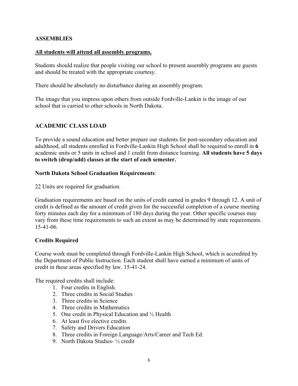#### **ASSEMBLIES**

#### **All students will attend all assembly programs.**

Students should realize that people visiting our school to present assembly programs are guests and should be treated with the appropriate courtesy.

There should be absolutely no disturbance during an assembly program.

The image that you impress upon others from outside Fordville-Lankin is the image of our school that is carried to other schools in North Dakota.

#### **ACADEMIC CLASS LOAD**

To provide a sound education and better prepare our students for post-secondary education and adulthood, all students enrolled in Fordville-Lankin High School shall be required to enroll in **6** academic units or 5 units in school and 1 credit from distance learning. **All students have 5 days to switch (drop/add) classes at the start of each semester.** 

#### **North Dakota School Graduation Requirements**:

22 Units are required for graduation.

Graduation requirements are based on the units of credit earned in grades 9 through 12. A unit of credit is defined as the amount of credit given for the successful completion of a course meeting forty minutes each day for a minimum of 180 days during the year. Other specific courses may vary from these time requirements to such an extent as may be determined by state requirements. 15-41-06.

#### **Credits Required**

Course work must be completed through Fordville-Lankin High School, which is accredited by the Department of Public Instruction. Each student shall have earned a minimum of units of credit in these areas specified by law. 15-41-24.

The required credits shall include:

- 1. Four credits in English.
- 2. Three credits in Social Studies
- 3. Three credits in Science
- 4. Three credits in Mathematics
- 5. One credit in Physical Education and ½ Health
- 6. At least five elective credits
- 7. Safety and Drivers Education
- 8. Three credits in Foreign Language/Arts/Career and Tech Ed.
- 9. North Dakota Studies- ½ credit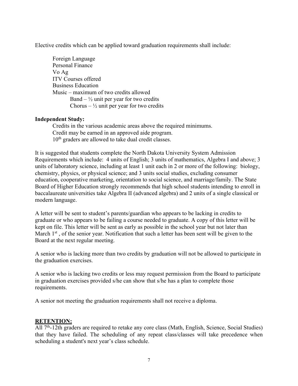Elective credits which can be applied toward graduation requirements shall include:

Foreign Language Personal Finance Vo Ag ITV Courses offered Business Education Music – maximum of two credits allowed Band –  $\frac{1}{2}$  unit per year for two credits Chorus –  $\frac{1}{2}$  unit per year for two credits

#### **Independent Study:**

Credits in the various academic areas above the required minimums. Credit may be earned in an approved aide program. 10<sup>th</sup> graders are allowed to take dual credit classes.

It is suggested that students complete the North Dakota University System Admission Requirements which include: 4 units of English; 3 units of mathematics, Algebra I and above; 3 units of laboratory science, including at least 1 unit each in 2 or more of the following: biology, chemistry, physics, or physical science; and 3 units social studies, excluding consumer education, cooperative marketing, orientation to social science, and marriage/family. The State Board of Higher Education strongly recommends that high school students intending to enroll in baccalaureate universities take Algebra II (advanced algebra) and 2 units of a single classical or modern language.

A letter will be sent to student's parents/guardian who appears to be lacking in credits to graduate or who appears to be failing a course needed to graduate. A copy of this letter will be kept on file. This letter will be sent as early as possible in the school year but not later than March  $1<sup>st</sup>$ , of the senior year. Notification that such a letter has been sent will be given to the Board at the next regular meeting.

A senior who is lacking more than two credits by graduation will not be allowed to participate in the graduation exercises.

A senior who is lacking two credits or less may request permission from the Board to participate in graduation exercises provided s/he can show that s/he has a plan to complete those requirements.

A senior not meeting the graduation requirements shall not receive a diploma.

#### **RETENTION:**

All  $7<sup>th</sup>$ -12th graders are required to retake any core class (Math, English, Science, Social Studies) that they have failed. The scheduling of any repeat class/classes will take precedence when scheduling a student's next year's class schedule.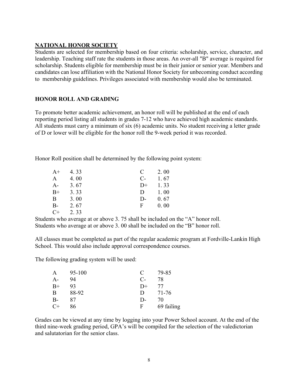#### **NATIONAL HONOR SOCIETY**

Students are selected for membership based on four criteria: scholarship, service, character, and leadership. Teaching staff rate the students in those areas. An over-all "B" average is required for scholarship. Students eligible for membership must be in their junior or senior year. Members and candidates can lose affiliation with the National Honor Society for unbecoming conduct according to membership guidelines. Privileges associated with membership would also be terminated.

#### **HONOR ROLL AND GRADING**

To promote better academic achievement, an honor roll will be published at the end of each reporting period listing all students in grades 7-12 who have achieved high academic standards. All students must carry a minimum of six (6) academic units. No student receiving a letter grade of D or lower will be eligible for the honor roll the 9-week period it was recorded.

Honor Roll position shall be determined by the following point system:

| $A+$  | 4.33 | C     | 2.00 |
|-------|------|-------|------|
| A     | 4.00 | $C$ - | 1.67 |
| $A-$  | 3.67 | $D+$  | 1.33 |
| $B+$  | 3.33 | D     | 1.00 |
| B     | 3.00 | D-    | 0.67 |
| $B -$ | 2.67 | F     | 0.00 |
| $C+$  | 2.33 |       |      |

Students who average at or above 3. 75 shall be included on the "A" honor roll. Students who average at or above 3. 00 shall be included on the "B" honor roll.

All classes must be completed as part of the regular academic program at Fordville-Lankin High School. This would also include approval correspondence courses.

The following grading system will be used:

| A    | 95-100 | C     | 79-85      |
|------|--------|-------|------------|
| $A-$ | 94     | $C$ - | 78         |
| $B+$ | 93     | $D+$  | 77         |
| B    | 88-92  | D     | 71-76      |
| $B-$ | 87     | D-    | 70         |
| $C+$ | 86     | F     | 69 failing |

Grades can be viewed at any time by logging into your Power School account. At the end of the third nine-week grading period, GPA's will be compiled for the selection of the valedictorian and salutatorian for the senior class.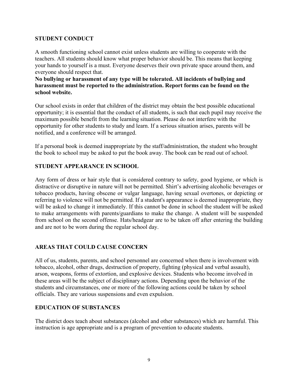#### **STUDENT CONDUCT**

A smooth functioning school cannot exist unless students are willing to cooperate with the teachers. All students should know what proper behavior should be. This means that keeping your hands to yourself is a must. Everyone deserves their own private space around them, and everyone should respect that.

**No bullying or harassment of any type will be tolerated. All incidents of bullying and harassment must be reported to the administration. Report forms can be found on the school website.**

Our school exists in order that children of the district may obtain the best possible educational opportunity; it is essential that the conduct of all students, is such that each pupil may receive the maximum possible benefit from the learning situation. Please do not interfere with the opportunity for other students to study and learn. If a serious situation arises, parents will be notified, and a conference will be arranged.

If a personal book is deemed inappropriate by the staff/administration, the student who brought the book to school may be asked to put the book away. The book can be read out of school.

#### **STUDENT APPEARANCE IN SCHOOL**

Any form of dress or hair style that is considered contrary to safety, good hygiene, or which is distractive or disruptive in nature will not be permitted. Shirt's advertising alcoholic beverages or tobacco products, having obscene or vulgar language, having sexual overtones, or depicting or referring to violence will not be permitted. If a student's appearance is deemed inappropriate, they will be asked to change it immediately. If this cannot be done in school the student will be asked to make arrangements with parents/guardians to make the change. A student will be suspended from school on the second offense. Hats/headgear are to be taken off after entering the building and are not to be worn during the regular school day.

#### **AREAS THAT COULD CAUSE CONCERN**

All of us, students, parents, and school personnel are concerned when there is involvement with tobacco, alcohol, other drugs, destruction of property, fighting (physical and verbal assault), arson, weapons, forms of extortion, and explosive devices. Students who become involved in these areas will be the subject of disciplinary actions. Depending upon the behavior of the students and circumstances, one or more of the following actions could be taken by school officials. They are various suspensions and even expulsion.

#### **EDUCATION OF SUBSTANCES**

The district does teach about substances (alcohol and other substances) which are harmful. This instruction is age appropriate and is a program of prevention to educate students.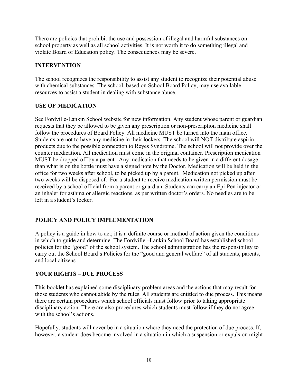There are policies that prohibit the use and possession of illegal and harmful substances on school property as well as all school activities. It is not worth it to do something illegal and violate Board of Education policy. The consequences may be severe.

#### **INTERVENTION**

The school recognizes the responsibility to assist any student to recognize their potential abuse with chemical substances. The school, based on School Board Policy, may use available resources to assist a student in dealing with substance abuse.

#### **USE OF MEDICATION**

See Fordville-Lankin School website for new information. Any student whose parent or guardian requests that they be allowed to be given any prescription or non-prescription medicine shall follow the procedures of Board Policy. All medicine MUST be turned into the main office. Students are not to have any medicine in their lockers. The school will NOT distribute aspirin products due to the possible connection to Reyes Syndrome. The school will not provide over the counter medication. All medication must come in the original container. Prescription medication MUST be dropped off by a parent. Any medication that needs to be given in a different dosage than what is on the bottle must have a signed note by the Doctor. Medication will be held in the office for two weeks after school, to be picked up by a parent. Medication not picked up after two weeks will be disposed of. For a student to receive medication written permission must be received by a school official from a parent or guardian. Students can carry an Epi-Pen injector or an inhaler for asthma or allergic reactions, as per written doctor's orders. No needles are to be left in a student's locker.

#### **POLICY AND POLICY IMPLEMENTATION**

A policy is a guide in how to act; it is a definite course or method of action given the conditions in which to guide and determine. The Fordville –Lankin School Board has established school policies for the "good" of the school system. The school administration has the responsibility to carry out the School Board's Policies for the "good and general welfare" of all students, parents, and local citizens.

#### **YOUR RIGHTS – DUE PROCESS**

This booklet has explained some disciplinary problem areas and the actions that may result for those students who cannot abide by the rules. All students are entitled to due process. This means there are certain procedures which school officials must follow prior to taking appropriate disciplinary action. There are also procedures which students must follow if they do not agree with the school's actions.

Hopefully, students will never be in a situation where they need the protection of due process. If, however, a student does become involved in a situation in which a suspension or expulsion might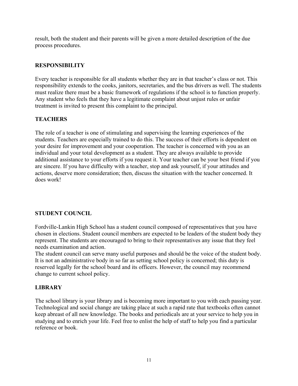result, both the student and their parents will be given a more detailed description of the due process procedures.

#### **RESPONSIBILITY**

Every teacher is responsible for all students whether they are in that teacher's class or not. This responsibility extends to the cooks, janitors, secretaries, and the bus drivers as well. The students must realize there must be a basic framework of regulations if the school is to function properly. Any student who feels that they have a legitimate complaint about unjust rules or unfair treatment is invited to present this complaint to the principal.

#### **TEACHERS**

The role of a teacher is one of stimulating and supervising the learning experiences of the students. Teachers are especially trained to do this. The success of their efforts is dependent on your desire for improvement and your cooperation. The teacher is concerned with you as an individual and your total development as a student. They are always available to provide additional assistance to your efforts if you request it. Your teacher can be your best friend if you are sincere. If you have difficulty with a teacher, stop and ask yourself, if your attitudes and actions, deserve more consideration; then, discuss the situation with the teacher concerned. It does work!

#### **STUDENT COUNCIL**

Fordville-Lankin High School has a student council composed of representatives that you have chosen in elections. Student council members are expected to be leaders of the student body they represent. The students are encouraged to bring to their representatives any issue that they feel needs examination and action.

The student council can serve many useful purposes and should be the voice of the student body. It is not an administrative body in so far as setting school policy is concerned; this duty is reserved legally for the school board and its officers. However, the council may recommend change to current school policy.

#### **LIBRARY**

The school library is your library and is becoming more important to you with each passing year. Technological and social change are taking place at such a rapid rate that textbooks often cannot keep abreast of all new knowledge. The books and periodicals are at your service to help you in studying and to enrich your life. Feel free to enlist the help of staff to help you find a particular reference or book.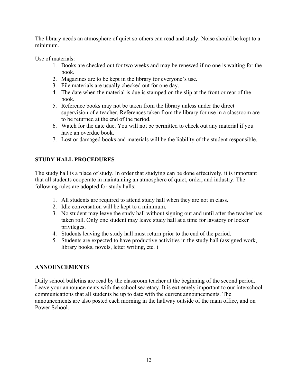The library needs an atmosphere of quiet so others can read and study. Noise should be kept to a minimum.

Use of materials:

- 1. Books are checked out for two weeks and may be renewed if no one is waiting for the book.
- 2. Magazines are to be kept in the library for everyone's use.
- 3. File materials are usually checked out for one day.
- 4. The date when the material is due is stamped on the slip at the front or rear of the book.
- 5. Reference books may not be taken from the library unless under the direct supervision of a teacher. References taken from the library for use in a classroom are to be returned at the end of the period.
- 6. Watch for the date due. You will not be permitted to check out any material if you have an overdue book.
- 7. Lost or damaged books and materials will be the liability of the student responsible.

#### **STUDY HALL PROCEDURES**

The study hall is a place of study. In order that studying can be done effectively, it is important that all students cooperate in maintaining an atmosphere of quiet, order, and industry. The following rules are adopted for study halls:

- 1. All students are required to attend study hall when they are not in class.
- 2. Idle conversation will be kept to a minimum.
- 3. No student may leave the study hall without signing out and until after the teacher has taken roll. Only one student may leave study hall at a time for lavatory or locker privileges.
- 4. Students leaving the study hall must return prior to the end of the period.
- 5. Students are expected to have productive activities in the study hall (assigned work, library books, novels, letter writing, etc. )

#### **ANNOUNCEMENTS**

Daily school bulletins are read by the classroom teacher at the beginning of the second period. Leave your announcements with the school secretary. It is extremely important to our interschool communications that all students be up to date with the current announcements. The announcements are also posted each morning in the hallway outside of the main office, and on Power School.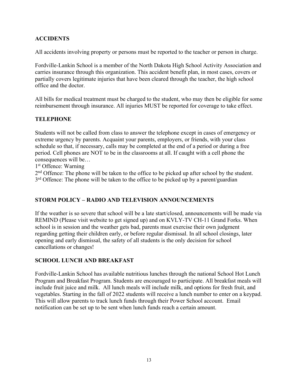#### **ACCIDENTS**

All accidents involving property or persons must be reported to the teacher or person in charge.

Fordville-Lankin School is a member of the North Dakota High School Activity Association and carries insurance through this organization. This accident benefit plan, in most cases, covers or partially covers legitimate injuries that have been cleared through the teacher, the high school office and the doctor.

All bills for medical treatment must be charged to the student, who may then be eligible for some reimbursement through insurance. All injuries MUST be reported for coverage to take effect.

#### **TELEPHONE**

Students will not be called from class to answer the telephone except in cases of emergency or extreme urgency by parents. Acquaint your parents, employers, or friends, with your class schedule so that, if necessary, calls may be completed at the end of a period or during a free period. Cell phones are NOT to be in the classrooms at all. If caught with a cell phone the consequences will be…

1st Offence: Warning

2<sup>nd</sup> Offence: The phone will be taken to the office to be picked up after school by the student.  $3<sup>rd</sup>$  Offence: The phone will be taken to the office to be picked up by a parent/guardian

#### **STORM POLICY – RADIO AND TELEVISION ANNOUNCEMENTS**

If the weather is so severe that school will be a late start/closed, announcements will be made via REMIND (Please visit website to get signed up) and on KVLY-TV CH-11 Grand Forks. When school is in session and the weather gets bad, parents must exercise their own judgment regarding getting their children early, or before regular dismissal. In all school closings, later opening and early dismissal, the safety of all students is the only decision for school cancellations or changes!

#### **SCHOOL LUNCH AND BREAKFAST**

Fordville-Lankin School has available nutritious lunches through the national School Hot Lunch Program and Breakfast Program. Students are encouraged to participate. All breakfast meals will include fruit juice and milk. All lunch meals will include milk, and options for fresh fruit, and vegetables. Starting in the fall of 2022 students will receive a lunch number to enter on a keypad. This will allow parents to track lunch funds through their Power School account. Email notification can be set up to be sent when lunch funds reach a certain amount.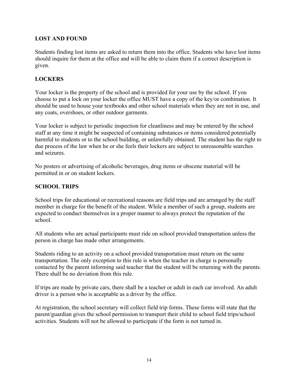#### **LOST AND FOUND**

Students finding lost items are asked to return them into the office. Students who have lost items should inquire for them at the office and will be able to claim them if a correct description is given.

#### **LOCKERS**

Your locker is the property of the school and is provided for your use by the school. If you choose to put a lock on your locker the office MUST have a copy of the key/or combination. It should be used to house your textbooks and other school materials when they are not in use, and any coats, overshoes, or other outdoor garments.

Your locker is subject to periodic inspection for cleanliness and may be entered by the school staff at any time it might be suspected of containing substances or items considered potentially harmful to students or to the school building, or unlawfully obtained. The student has the right to due process of the law when he or she feels their lockers are subject to unreasonable searches and seizures.

No posters or advertising of alcoholic beverages, drug items or obscene material will be permitted in or on student lockers.

#### **SCHOOL TRIPS**

School trips for educational or recreational reasons are field trips and are arranged by the staff member in charge for the benefit of the student. While a member of such a group, students are expected to conduct themselves in a proper manner to always protect the reputation of the school.

All students who are actual participants must ride on school provided transportation unless the person in charge has made other arrangements.

Students riding to an activity on a school provided transportation must return on the same transportation. The only exception to this rule is when the teacher in charge is personally contacted by the parent informing said teacher that the student will be returning with the parents. There shall be no deviation from this rule.

If trips are made by private cars, there shall be a teacher or adult in each car involved. An adult driver is a person who is acceptable as a driver by the office.

At registration, the school secretary will collect field trip forms. These forms will state that the parent/guardian gives the school permission to transport their child to school field trips/school activities. Students will not be allowed to participate if the form is not turned in.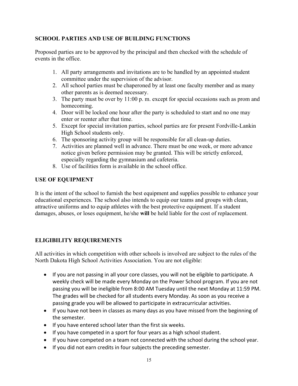#### **SCHOOL PARTIES AND USE OF BUILDING FUNCTIONS**

Proposed parties are to be approved by the principal and then checked with the schedule of events in the office.

- 1. All party arrangements and invitations are to be handled by an appointed student committee under the supervision of the advisor.
- 2. All school parties must be chaperoned by at least one faculty member and as many other parents as is deemed necessary.
- 3. The party must be over by 11:00 p. m. except for special occasions such as prom and homecoming.
- 4. Door will be locked one hour after the party is scheduled to start and no one may enter or reenter after that time.
- 5. Except for special invitation parties, school parties are for present Fordville-Lankin High School students only.
- 6. The sponsoring activity group will be responsible for all clean-up duties.
- 7. Activities are planned well in advance. There must be one week, or more advance notice given before permission may be granted. This will be strictly enforced, especially regarding the gymnasium and cafeteria.
- 8. Use of facilities form is available in the school office.

#### **USE OF EQUIPMENT**

It is the intent of the school to furnish the best equipment and supplies possible to enhance your educational experiences. The school also intends to equip our teams and groups with clean, attractive uniforms and to equip athletes with the best protective equipment. If a student damages, abuses, or loses equipment, he/she **will** be held liable for the cost of replacement.

#### **ELIGIBILITY REQUIREMENTS**

All activities in which competition with other schools is involved are subject to the rules of the North Dakota High School Activities Association. You are not eligible:

- If you are not passing in all your core classes, you will not be eligible to participate. A weekly check will be made every Monday on the Power School program. If you are not passing you will be ineligible from 8:00 AM Tuesday until the next Monday at 11:59 PM. The grades will be checked for all students every Monday. As soon as you receive a passing grade you will be allowed to participate in extracurricular activities.
- If you have not been in classes as many days as you have missed from the beginning of the semester.
- If you have entered school later than the first six weeks.
- If you have competed in a sport for four years as a high school student.
- If you have competed on a team not connected with the school during the school year.
- If you did not earn credits in four subjects the preceding semester.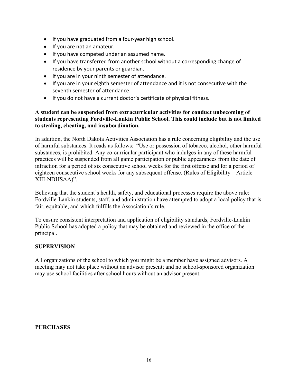- If you have graduated from a four-year high school.
- If you are not an amateur.
- If you have competed under an assumed name.
- If you have transferred from another school without a corresponding change of residence by your parents or guardian.
- If you are in your ninth semester of attendance.
- If you are in your eighth semester of attendance and it is not consecutive with the seventh semester of attendance.
- If you do not have a current doctor's certificate of physical fitness.

#### **A student can be suspended from extracurricular activities for conduct unbecoming of students representing Fordville-Lankin Public School. This could include but is not limited to stealing, cheating, and insubordination.**

In addition, the North Dakota Activities Association has a rule concerning eligibility and the use of harmful substances. It reads as follows: "Use or possession of tobacco, alcohol, other harmful substances, is prohibited. Any co-curricular participant who indulges in any of these harmful practices will be suspended from all game participation or public appearances from the date of infraction for a period of six consecutive school weeks for the first offense and for a period of eighteen consecutive school weeks for any subsequent offense. (Rules of Eligibility – Article XIII-NDHSAA)".

Believing that the student's health, safety, and educational processes require the above rule: Fordville-Lankin students, staff, and administration have attempted to adopt a local policy that is fair, equitable, and which fulfills the Association's rule.

To ensure consistent interpretation and application of eligibility standards, Fordville-Lankin Public School has adopted a policy that may be obtained and reviewed in the office of the principal.

#### **SUPERVISION**

All organizations of the school to which you might be a member have assigned advisors. A meeting may not take place without an advisor present; and no school-sponsored organization may use school facilities after school hours without an advisor present.

#### **PURCHASES**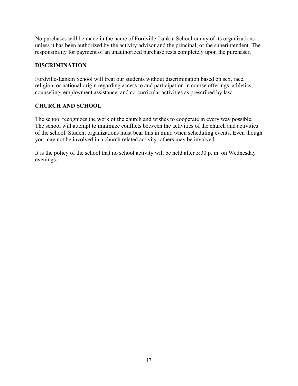No purchases will be made in the name of Fordville-Lankin School or any of its organizations unless it has been authorized by the activity advisor and the principal, or the superintendent. The responsibility for payment of an unauthorized purchase rests completely upon the purchaser.

#### **DISCRIMINATION**

Fordville-Lankin School will treat our students without discrimination based on sex, race, religion, or national origin regarding access to and participation in course offerings, athletics, counseling, employment assistance, and co-curricular activities as prescribed by law.

#### **CHURCH AND SCHOOL**

The school recognizes the work of the church and wishes to cooperate in every way possible. The school will attempt to minimize conflicts between the activities of the church and activities of the school. Student organizations must bear this in mind when scheduling events. Even though you may not be involved in a church related activity, others may be involved.

It is the policy of the school that no school activity will be held after 5:30 p. m. on Wednesday evenings.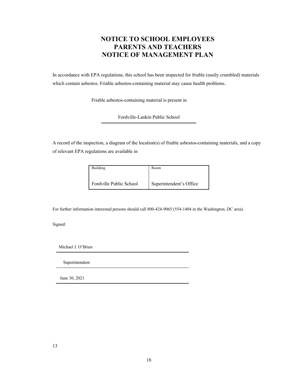#### **NOTICE TO SCHOOL EMPLOYEES PARENTS AND TEACHERS NOTICE OF MANAGEMENT PLAN**

In accordance with EPA regulations, this school has been inspected for friable (easily crumbled) materials which contain asbestos. Friable asbestos-containing material may cause health problems.

Friable asbestos-containing material is present in

Fordville-Lankin Public School

A record of the inspection, a diagram of the location(s) of friable asbestos-containing materials, and a copy of relevant EPA regulations are available in

| Building                | Room                    |
|-------------------------|-------------------------|
| Fordville Public School | Superintendent's Office |

For further information interested persons should call 800-424-9065 (554-1404 in the Washington, DC area).

Signed:

Michael J. O'Brien

Superintendent

June 30, 2021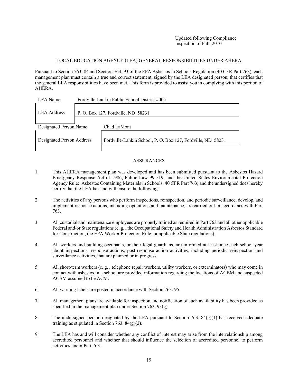#### LOCAL EDUCATION AGENCY (LEA) GENERAL RESPONSIBILITIES UNDER AHERA

Pursuant to Section 763. 84 and Section 763. 93 of the EPA Asbestos in Schools Regulation (40 CFR Part 763), each management plan must contain a true and correct statement, signed by the LEA designated person, that certifies that the general LEA responsibilities have been met. This form is provided to assist you in complying with this portion of AHERA.

| LEA Name                  |  | Fordville-Lankin Public School District #005                |  |
|---------------------------|--|-------------------------------------------------------------|--|
| <b>LEA</b> Address        |  | P. O. Box 127, Fordville, ND 58231                          |  |
| Designated Person Name    |  | Chad LaMont                                                 |  |
| Designated Person Address |  | Fordville-Lankin School, P. O. Box 127, Fordville, ND 58231 |  |

#### ASSURANCES

- 1. This AHERA management plan was developed and has been submitted pursuant to the Asbestos Hazard Emergency Response Act of 1986, Public Law 99-519; and the United States Environmental Protection Agency Rule: Asbestos Containing Materials in Schools, 40 CFR Part 763; and the undersigned does hereby certify that the LEA has and will ensure the following:
- 2. The activities of any persons who perform inspections, reinspection, and periodic surveillance, develop, and implement response actions, including operations and maintenance, are carried out in accordance with Part 763.
- 3. All custodial and maintenance employees are properly trained as required in Part 763 and all other applicable Federal and/or State regulations (e. g. , the Occupational Safety and Health Administration Asbestos Standard for Construction, the EPA Worker Protection Rule, or applicable State regulations).
- 4. All workers and building occupants, or their legal guardians, are informed at least once each school year about inspections, response actions, post-response action activities, including periodic reinspection and surveillance activities, that are planned or in progress.
- 5. All short-term workers (e. g. , telephone repair workers, utility workers, or exterminators) who may come in contact with asbestos in a school are provided information regarding the locations of ACBM and suspected ACBM assumed to be ACM.
- 6. All warning labels are posted in accordance with Section 763. 95.
- 7. All management plans are available for inspection and notification of such availability has been provided as specified in the management plan under Section 763. 93(g).
- 8. The undersigned person designated by the LEA pursuant to Section 763.  $84(g)(1)$  has received adequate training as stipulated in Section 763.  $84(g)(2)$ .
- 9. The LEA has and will consider whether any conflict of interest may arise from the interrelationship among accredited personnel and whether that should influence the selection of accredited personnel to perform activities under Part 763.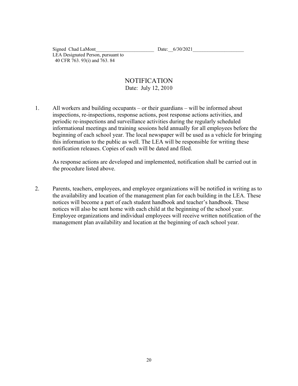Signed Chad LaMont<br>Date:  $6/30/2021$ LEA Designated Person, pursuant to 40 CFR 763. 93(i) and 763. 84

#### NOTIFICATION Date: July 12, 2010

1. All workers and building occupants – or their guardians – will be informed about inspections, re-inspections, response actions, post response actions activities, and periodic re-inspections and surveillance activities during the regularly scheduled informational meetings and training sessions held annually for all employees before the beginning of each school year. The local newspaper will be used as a vehicle for bringing this information to the public as well. The LEA will be responsible for writing these notification releases. Copies of each will be dated and filed.

As response actions are developed and implemented, notification shall be carried out in the procedure listed above.

2. Parents, teachers, employees, and employee organizations will be notified in writing as to the availability and location of the management plan for each building in the LEA. These notices will become a part of each student handbook and teacher's handbook. These notices will also be sent home with each child at the beginning of the school year. Employee organizations and individual employees will receive written notification of the management plan availability and location at the beginning of each school year.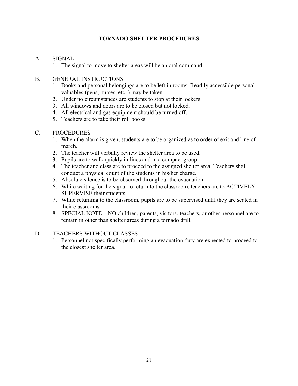#### **TORNADO SHELTER PROCEDURES**

#### A. SIGNAL

1. The signal to move to shelter areas will be an oral command.

#### B. GENERAL INSTRUCTIONS

- 1. Books and personal belongings are to be left in rooms. Readily accessible personal valuables (pens, purses, etc. ) may be taken.
- 2. Under no circumstances are students to stop at their lockers.
- 3. All windows and doors are to be closed but not locked.
- 4. All electrical and gas equipment should be turned off.
- 5. Teachers are to take their roll books.

#### C. PROCEDURES

- 1. When the alarm is given, students are to be organized as to order of exit and line of march.
- 2. The teacher will verbally review the shelter area to be used.
- 3. Pupils are to walk quickly in lines and in a compact group.
- 4. The teacher and class are to proceed to the assigned shelter area. Teachers shall conduct a physical count of the students in his/her charge.
- 5. Absolute silence is to be observed throughout the evacuation.
- 6. While waiting for the signal to return to the classroom, teachers are to ACTIVELY SUPERVISE their students.
- 7. While returning to the classroom, pupils are to be supervised until they are seated in their classrooms.
- 8. SPECIAL NOTE NO children, parents, visitors, teachers, or other personnel are to remain in other than shelter areas during a tornado drill.

#### D. TEACHERS WITHOUT CLASSES

1. Personnel not specifically performing an evacuation duty are expected to proceed to the closest shelter area.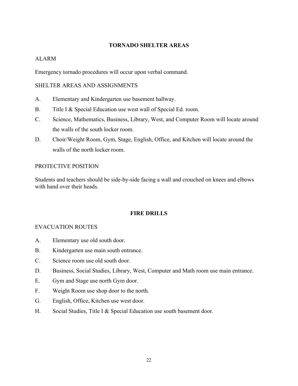#### **TORNADO SHELTER AREAS**

#### ALARM

Emergency tornado procedures will occur upon verbal command.

#### SHELTER AREAS AND ASSIGNMENTS

- A. Elementary and Kindergarten use basement hallway.
- B. Title I & Special Education use west wall of Special Ed. room.
- C. Science, Mathematics, Business, Library, West, and Computer Room will locate around the walls of the south locker room.
- D. Choir/Weight Room, Gym, Stage, English, Office, and Kitchen will locate around the walls of the north locker room.

#### PROTECTIVE POSITION

Students and teachers should be side-by-side facing a wall and crouched on knees and elbows with hand over their heads.

#### **FIRE DRILLS**

#### EVACUATION ROUTES

- A. Elementary use old south door.
- B. Kindergarten use main south entrance.
- C. Science room use old south door.
- D. Business, Social Studies, Library, West, Computer and Math room use main entrance.
- E. Gym and Stage use north Gym door.
- F. Weight Room use shop door to the north.
- G. English, Office, Kitchen use west door.
- H. Social Studies, Title I & Special Education use south basement door.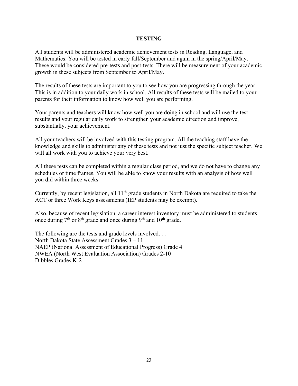#### **TESTING**

All students will be administered academic achievement tests in Reading, Language, and Mathematics. You will be tested in early fall/September and again in the spring/April/May. These would be considered pre-tests and post-tests. There will be measurement of your academic growth in these subjects from September to April/May.

The results of these tests are important to you to see how you are progressing through the year. This is in addition to your daily work in school. All results of these tests will be mailed to your parents for their information to know how well you are performing.

Your parents and teachers will know how well you are doing in school and will use the test results and your regular daily work to strengthen your academic direction and improve, substantially, your achievement.

All your teachers will be involved with this testing program. All the teaching staff have the knowledge and skills to administer any of these tests and not just the specific subject teacher. We will all work with you to achieve your very best.

All these tests can be completed within a regular class period, and we do not have to change any schedules or time frames. You will be able to know your results with an analysis of how well you did within three weeks.

Currently, by recent legislation, all  $11<sup>th</sup>$  grade students in North Dakota are required to take the ACT or three Work Keys assessments (IEP students may be exempt).

Also, because of recent legislation, a career interest inventory must be administered to students once during 7th or 8th grade and once during 9th and 10th grade**.** 

The following are the tests and grade levels involved... North Dakota State Assessment Grades 3 – 11 NAEP (National Assessment of Educational Progress) Grade 4 NWEA (North West Evaluation Association) Grades 2-10 Dibbles Grades K-2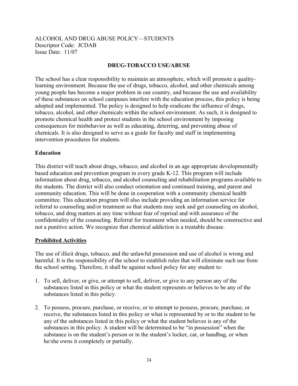#### ALCOHOL AND DRUG ABUSE POLICY—STUDENTS Descriptor Code: JCDAB Issue Date: 11/07

#### **DRUG-TOBACCO USE/ABUSE**

The school has a clear responsibility to maintain an atmosphere, which will promote a qualitylearning environment. Because the use of drugs, tobacco, alcohol, and other chemicals among young people has become a major problem in our country, and because the use and availability of these substances on school campuses interfere with the education process, this policy is being adopted and implemented. The policy is designed to help eradicate the influence of drugs, tobacco, alcohol, and other chemicals within the school environment. As such, it is designed to promote chemical health and protect students in the school environment by imposing consequences for misbehavior as well as educating, deterring, and preventing abuse of chemicals. It is also designed to serve as a guide for faculty and staff in implementing intervention procedures for students.

#### **Education**

This district will teach about drugs, tobacco, and alcohol in an age appropriate developmentally based education and prevention program in every grade K-12. This program will include information about drug, tobacco, and alcohol counseling and rehabilitation programs available to the students. The district will also conduct orientation and continued training, and parent and community education. This will be done in cooperation with a community chemical health committee. This education program will also include providing an information service for referral to counseling and/or treatment so that students may seek and get counseling on alcohol, tobacco, and drug matters at any time without fear of reprisal and with assurance of the confidentiality of the counseling. Referral for treatment when needed, should be constructive and not a punitive action. We recognize that chemical addiction is a treatable disease.

#### **Prohibited Activities**

The use of illicit drugs, tobacco, and the unlawful possession and use of alcohol is wrong and harmful. It is the responsibility of the school to establish rules that will eliminate such use from the school setting. Therefore, it shall be against school policy for any student to:

- 1. To sell, deliver, or give, or attempt to sell, deliver, or give to any person any of the substances listed in this policy or what the student represents or believes to be any of the substances listed in this policy.
- 2. To possess, procure, purchase, or receive, or to attempt to possess, procure, purchase, or receive, the substances listed in this policy or what is represented by or to the student to be any of the substances listed in this policy or what the student believes is any of the substances in this policy. A student will be determined to be "in possession" when the substance is on the student's person or in the student's locker, car, or handbag, or when he/she owns it completely or partially.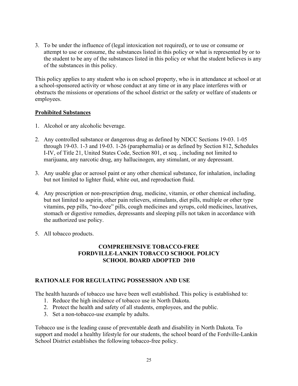3. To be under the influence of (legal intoxication not required), or to use or consume or attempt to use or consume, the substances listed in this policy or what is represented by or to the student to be any of the substances listed in this policy or what the student believes is any of the substances in this policy.

This policy applies to any student who is on school property, who is in attendance at school or at a school-sponsored activity or whose conduct at any time or in any place interferes with or obstructs the missions or operations of the school district or the safety or welfare of students or employees.

#### **Prohibited Substances**

- 1. Alcohol or any alcoholic beverage.
- 2. Any controlled substance or dangerous drug as defined by NDCC Sections 19-03. 1-05 through 19-03. 1-3 and 19-03. 1-26 (paraphernalia) or as defined by Section 812, Schedules I-IV, of Title 21, United States Code, Section 801, et seq. , including not limited to marijuana, any narcotic drug, any hallucinogen, any stimulant, or any depressant.
- 3. Any usable glue or aerosol paint or any other chemical substance, for inhalation, including but not limited to lighter fluid, white out, and reproduction fluid.
- 4. Any prescription or non-prescription drug, medicine, vitamin, or other chemical including, but not limited to aspirin, other pain relievers, stimulants, diet pills, multiple or other type vitamins, pep pills, "no-doze" pills, cough medicines and syrups, cold medicines, laxatives, stomach or digestive remedies, depressants and sleeping pills not taken in accordance with the authorized use policy.
- 5. All tobacco products.

#### **COMPREHENSIVE TOBACCO-FREE FORDVILLE-LANKIN TOBACCO SCHOOL POLICY SCHOOL BOARD ADOPTED 2010**

#### **RATIONALE FOR REGULATING POSSESSION AND USE**

The health hazards of tobacco use have been well established. This policy is established to:

- 1. Reduce the high incidence of tobacco use in North Dakota.
- 2. Protect the health and safety of all students, employees, and the public.
- 3. Set a non-tobacco-use example by adults.

Tobacco use is the leading cause of preventable death and disability in North Dakota. To support and model a healthy lifestyle for our students, the school board of the Fordville-Lankin School District establishes the following tobacco-free policy.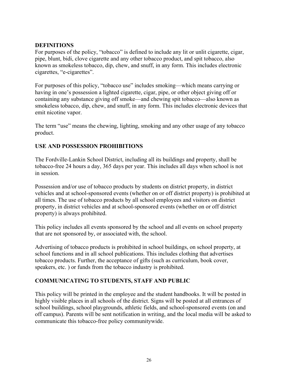#### **DEFINITIONS**

For purposes of the policy, "tobacco" is defined to include any lit or unlit cigarette, cigar, pipe, blunt, bidi, clove cigarette and any other tobacco product, and spit tobacco, also known as smokeless tobacco, dip, chew, and snuff, in any form. This includes electronic cigarettes, "e-cigarettes".

For purposes of this policy, "tobacco use" includes smoking—which means carrying or having in one's possession a lighted cigarette, cigar, pipe, or other object giving off or containing any substance giving off smoke—and chewing spit tobacco—also known as smokeless tobacco, dip, chew, and snuff, in any form. This includes electronic devices that emit nicotine vapor.

The term "use" means the chewing, lighting, smoking and any other usage of any tobacco product.

#### **USE AND POSSESSION PROHIBITIONS**

The Fordville-Lankin School District, including all its buildings and property, shall be tobacco-free 24 hours a day, 365 days per year. This includes all days when school is not in session.

Possession and/or use of tobacco products by students on district property, in district vehicles and at school-sponsored events (whether on or off district property) is prohibited at all times. The use of tobacco products by all school employees and visitors on district property, in district vehicles and at school-sponsored events (whether on or off district property) is always prohibited.

This policy includes all events sponsored by the school and all events on school property that are not sponsored by, or associated with, the school.

Advertising of tobacco products is prohibited in school buildings, on school property, at school functions and in all school publications. This includes clothing that advertises tobacco products. Further, the acceptance of gifts (such as curriculum, book cover, speakers, etc. ) or funds from the tobacco industry is prohibited.

#### **COMMUNICATING TO STUDENTS, STAFF AND PUBLIC**

This policy will be printed in the employee and the student handbooks. It will be posted in highly visible places in all schools of the district. Signs will be posted at all entrances of school buildings, school playgrounds, athletic fields, and school-sponsored events (on and off campus). Parents will be sent notification in writing, and the local media will be asked to communicate this tobacco-free policy communitywide.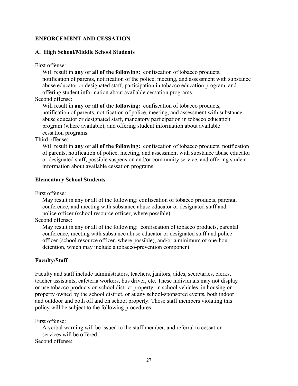#### **ENFORCEMENT AND CESSATION**

#### **A. High School/Middle School Students**

First offense:

 Will result in **any or all of the following:** confiscation of tobacco products, notification of parents, notification of the police, meeting, and assessment with substance abuse educator or designated staff, participation in tobacco education program, and offering student information about available cessation programs.

Second offense:

 Will result in **any or all of the following:** confiscation of tobacco products, notification of parents, notification of police, meeting, and assessment with substance abuse educator or designated staff, mandatory participation in tobacco education program (where available), and offering student information about available cessation programs.

Third offense:

 Will result in **any or all of the following:** confiscation of tobacco products, notification of parents, notification of police, meeting, and assessment with substance abuse educator or designated staff, possible suspension and/or community service, and offering student information about available cessation programs.

#### **Elementary School Students**

First offense:

 May result in any or all of the following: confiscation of tobacco products, parental conference, and meeting with substance abuse educator or designated staff and police officer (school resource officer, where possible).

Second offense:

 May result in any or all of the following: confiscation of tobacco products, parental conference, meeting with substance abuse educator or designated staff and police officer (school resource officer, where possible), and/or a minimum of one-hour detention, which may include a tobacco-prevention component.

#### **Faculty/Staff**

Faculty and staff include administrators, teachers, janitors, aides, secretaries, clerks, teacher assistants, cafeteria workers, bus driver, etc. These individuals may not display or use tobacco products on school district property, in school vehicles, in housing on property owned by the school district, or at any school-sponsored events, both indoor and outdoor and both off and on school property. Those staff members violating this policy will be subject to the following procedures:

First offense:

 A verbal warning will be issued to the staff member, and referral to cessation services will be offered. Second offense: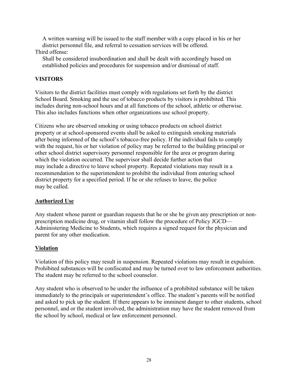A written warning will be issued to the staff member with a copy placed in his or her district personnel file, and referral to cessation services will be offered.

#### Third offense:

 Shall be considered insubordination and shall be dealt with accordingly based on established policies and procedures for suspension and/or dismissal of staff.

#### **VISITORS**

Visitors to the district facilities must comply with regulations set forth by the district School Board. Smoking and the use of tobacco products by visitors is prohibited. This includes during non-school hours and at all functions of the school, athletic or otherwise. This also includes functions when other organizations use school property.

Citizens who are observed smoking or using tobacco products on school district property or at school-sponsored events shall be asked to extinguish smoking materials after being informed of the school's tobacco-free policy. If the individual fails to comply with the request, his or her violation of policy may be referred to the building principal or other school district supervisory personnel responsible for the area or program during which the violation occurred. The supervisor shall decide further action that may include a directive to leave school property. Repeated violations may result in a recommendation to the superintendent to prohibit the individual from entering school district property for a specified period. If he or she refuses to leave, the police may be called.

#### **Authorized Use**

Any student whose parent or guardian requests that he or she be given any prescription or nonprescription medicine drug, or vitamin shall follow the procedure of Policy JGCD— Administering Medicine to Students, which requires a signed request for the physician and parent for any other medication.

#### **Violation**

Violation of this policy may result in suspension. Repeated violations may result in expulsion. Prohibited substances will be confiscated and may be turned over to law enforcement authorities. The student may be referred to the school counselor.

Any student who is observed to be under the influence of a prohibited substance will be taken immediately to the principals or superintendent's office. The student's parents will be notified and asked to pick up the student. If there appears to be imminent danger to other students, school personnel, and or the student involved, the administration may have the student removed from the school by school, medical or law enforcement personnel.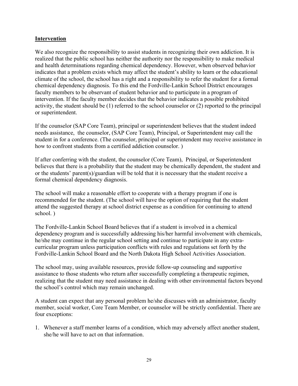#### **Intervention**

We also recognize the responsibility to assist students in recognizing their own addiction. It is realized that the public school has neither the authority nor the responsibility to make medical and health determinations regarding chemical dependency. However, when observed behavior indicates that a problem exists which may affect the student's ability to learn or the educational climate of the school, the school has a right and a responsibility to refer the student for a formal chemical dependency diagnosis. To this end the Fordville-Lankin School District encourages faculty members to be observant of student behavior and to participate in a program of intervention. If the faculty member decides that the behavior indicates a possible prohibited activity, the student should be (1) referred to the school counselor or (2) reported to the principal or superintendent.

If the counselor (SAP Core Team), principal or superintendent believes that the student indeed needs assistance, the counselor, (SAP Core Team), Principal, or Superintendent may call the student in for a conference. (The counselor, principal or superintendent may receive assistance in how to confront students from a certified addiction counselor. )

If after conferring with the student, the counselor (Core Team), Principal, or Superintendent believes that there is a probability that the student may be chemically dependent, the student and or the students' parent(s)/guardian will be told that it is necessary that the student receive a formal chemical dependency diagnosis.

The school will make a reasonable effort to cooperate with a therapy program if one is recommended for the student. (The school will have the option of requiring that the student attend the suggested therapy at school district expense as a condition for continuing to attend school. )

The Fordville-Lankin School Board believes that if a student is involved in a chemical dependency program and is successfully addressing his/her harmful involvement with chemicals, he/she may continue in the regular school setting and continue to participate in any extracurricular program unless participation conflicts with rules and regulations set forth by the Fordville-Lankin School Board and the North Dakota High School Activities Association.

The school may, using available resources, provide follow-up counseling and supportive assistance to those students who return after successfully completing a therapeutic regimen, realizing that the student may need assistance in dealing with other environmental factors beyond the school's control which may remain unchanged.

A student can expect that any personal problem he/she discusses with an administrator, faculty member, social worker, Core Team Member, or counselor will be strictly confidential. There are four exceptions:

1. Whenever a staff member learns of a condition, which may adversely affect another student, she/he will have to act on that information.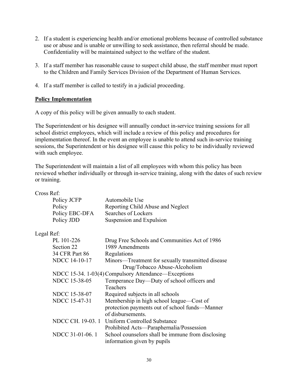- 2. If a student is experiencing health and/or emotional problems because of controlled substance use or abuse and is unable or unwilling to seek assistance, then referral should be made. Confidentiality will be maintained subject to the welfare of the student.
- 3. If a staff member has reasonable cause to suspect child abuse, the staff member must report to the Children and Family Services Division of the Department of Human Services.
- 4. If a staff member is called to testify in a judicial proceeding.

#### **Policy Implementation**

A copy of this policy will be given annually to each student.

The Superintendent or his designee will annually conduct in-service training sessions for all school district employees, which will include a review of this policy and procedures for implementation thereof. In the event an employee is unable to attend such in-service training sessions, the Superintendent or his designee will cause this policy to be individually reviewed with such employee.

The Superintendent will maintain a list of all employees with whom this policy has been reviewed whether individually or through in-service training, along with the dates of such review or training.

| Cross Ref:           |                                                                                  |
|----------------------|----------------------------------------------------------------------------------|
| Policy JCFP          | Automobile Use                                                                   |
| Policy               | Reporting Child Abuse and Neglect                                                |
| Policy EBC-DFA       | Searches of Lockers                                                              |
| Policy JDD           | Suspension and Expulsion                                                         |
| Legal Ref:           |                                                                                  |
| PL 101-226           | Drug Free Schools and Communities Act of 1986                                    |
| Section 22           | 1989 Amendments                                                                  |
| 34 CFR Part 86       | Regulations                                                                      |
| NDCC 14-10-17        | Minors—Treatment for sexually transmitted disease                                |
|                      | Drug/Tobacco Abuse-Alcoholism                                                    |
|                      | NDCC 15-34. 1-03(4) Compulsory Attendance—Exceptions                             |
| <b>NDCC 15-38-05</b> | Temperance Day—Duty of school officers and                                       |
|                      | <b>Teachers</b>                                                                  |
| <b>NDCC 15-38-07</b> | Required subjects in all schools                                                 |
| NDCC 15-47-31        | Membership in high school league—Cost of                                         |
|                      | protection payments out of school funds-Manner                                   |
|                      | of disbursements.                                                                |
| NDCC CH. 19-03. 1    | Uniform Controlled Substance                                                     |
|                      | Prohibited Acts—Paraphernalia/Possession                                         |
| NDCC 31-01-06.1      | School counselors shall be immune from disclosing<br>information given by pupils |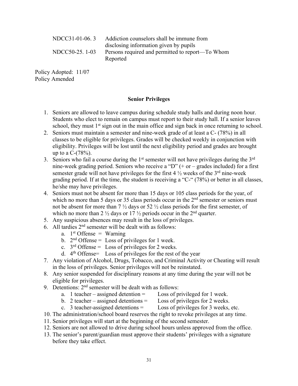| NDCC31-01-06.3  | Addiction counselors shall be immune from        |
|-----------------|--------------------------------------------------|
|                 | disclosing information given by pupils           |
| NDCC50-25. 1-03 | Persons required and permitted to report—To Whom |
|                 | Reported                                         |

Policy Adopted: 11/07 Policy Amended

#### **Senior Privileges**

- 1. Seniors are allowed to leave campus during schedule study halls and during noon hour. Students who elect to remain on campus must report to their study hall. If a senior leaves school, they must  $1<sup>st</sup>$  sign out in the main office and sign back in once returning to school.
- 2. Seniors must maintain a semester and nine-week grade of at least a C- (78%) in all classes to be eligible for privileges. Grades will be checked weekly in conjunction with eligibility. Privileges will be lost until the next eligibility period and grades are brought up to a  $C-(78%)$ .
- 3. Seniors who fail a course during the  $1<sup>st</sup>$  semester will not have privileges during the  $3<sup>rd</sup>$ nine-week grading period. Seniors who receive a "D"  $(+)$  or – grades included) for a first semester grade will not have privileges for the first  $4\frac{1}{2}$  weeks of the 3<sup>rd</sup> nine-week grading period. If at the time, the student is receiving a "C-" (78%) or better in all classes, he/she may have privileges.
- 4. Seniors must not be absent for more than 15 days or 105 class periods for the year, of which no more than 5 days or 35 class periods occur in the  $2<sup>nd</sup>$  semester or seniors must not be absent for more than 7 ½ days or 52 ½ class periods for the first semester, of which no more than 2  $\frac{1}{2}$  days or 17  $\frac{1}{2}$  periods occur in the 2<sup>nd</sup> quarter.
- 5. Any suspicious absences may result in the loss of privileges.
- 6. All tardies  $2<sup>nd</sup>$  semester will be dealt with as follows:
	- a.  $1<sup>st</sup>$  Offense = Warning
	- b.  $2<sup>nd</sup>$  Offense = Loss of privileges for 1 week.
	- c.  $3<sup>rd</sup>$  Offense = Loss of privileges for 2 weeks.
	- d.  $4<sup>th</sup>$  Offense = Loss of privileges for the rest of the year
- 7. Any violation of Alcohol, Drugs, Tobacco, and Criminal Activity or Cheating will result in the loss of privileges. Senior privileges will not be reinstated.
- 8. Any senior suspended for disciplinary reasons at any time during the year will not be eligible for privileges.
- 9. Detentions:  $2<sup>nd</sup>$  semester will be dealt with as follows:
	- a. 1 teacher assigned detention  $=$  Loss of privileged for 1 week.
	- b. 2 teacher assigned detentions  $=$  Loss of privileges for 2 weeks.
	- c. 3 teacher-assigned detentions  $=$  Loss of privileges for 3 weeks, etc.
- 10. The administration/school board reserves the right to revoke privileges at any time.
- 11. Senior privileges will start at the beginning of the second semester.
- 12. Seniors are not allowed to drive during school hours unless approved from the office.
- 13. The senior's parent/guardian must approve their students' privileges with a signature before they take effect.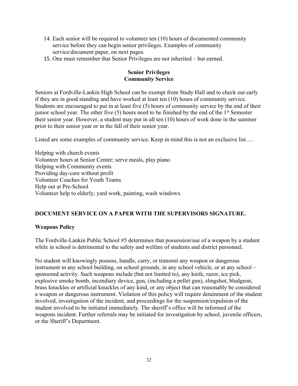- 14. Each senior will be required to volunteer ten (10) hours of documented community service before they can begin senior privileges. Examples of community service/document paper, on next pages.
- 15. One must remember that Senior Privileges are not inherited but earned.

#### **Senior Privileges Community Service**

Seniors at Fordville-Lankin High School can be exempt from Study Hall and to check out early if they are in good standing and have worked at least ten (10) hours of community service. Students are encouraged to put in at least five (5) hours of community service by the end of their junior school year. The other five  $(5)$  hours need to be finished by the end of the  $1<sup>st</sup>$  Semester their senior year. However, a student may put in all ten (10) hours of work done in the summer prior to their senior year or in the fall of their senior year.

Listed are some examples of community service. Keep in mind this is not an exclusive list….

Helping with church events Volunteer hours at Senior Center; serve meals, play piano Helping with Community events Providing day-care without profit Volunteer Coaches for Youth Teams Help out at Pre-School Volunteer help to elderly; yard work, painting, wash windows.

#### **DOCUMENT SERVICE ON A PAPER WITH THE SUPERVISORS SIGNATURE.**

#### **Weapons Policy**

The Fordville-Lankin Public School #5 determines that possession/use of a weapon by a student while in school is detrimental to the safety and welfare of students and district personnel.

No student will knowingly possess, handle, carry, or transmit any weapon or dangerous instrument in any school building, on school grounds, in any school vehicle, or at any school – sponsored activity. Such weapons include (but not limited to), any knife, razor, ice pick, explosive smoke bomb, incendiary device, gun, (including a pellet gun), slingshot, bludgeon, brass knuckles or artificial knuckles of any kind, or any object that can reasonably be considered a weapon or dangerous instrument. Violation of this policy will require detainment of the student involved, investigation of the incident, and proceedings for the suspension/expulsion of the student involved to be initiated immediately. The sheriff's office will be informed of the weapons incident. Further referrals may be initiated for investigation by school, juvenile officers, or the Sheriff's Department.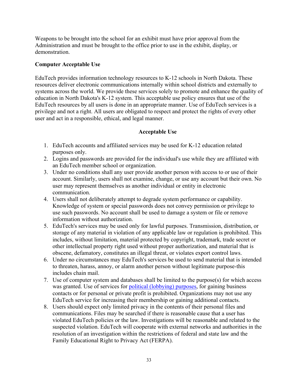Weapons to be brought into the school for an exhibit must have prior approval from the Administration and must be brought to the office prior to use in the exhibit, display, or demonstration.

#### **Computer Acceptable Use**

EduTech provides information technology resources to K-12 schools in North Dakota. These resources deliver electronic communications internally within school districts and externally to systems across the world. We provide these services solely to promote and enhance the quality of education in North Dakota's K-12 system. This acceptable use policy ensures that use of the EduTech resources by all users is done in an appropriate manner. Use of EduTech services is a privilege and not a right. All users are obligated to respect and protect the rights of every other user and act in a responsible, ethical, and legal manner.

#### **Acceptable Use**

- 1. EduTech accounts and affiliated services may be used for K-12 education related purposes only.
- 2. Logins and passwords are provided for the individual's use while they are affiliated with an EduTech member school or organization.
- 3. Under no conditions shall any user provide another person with access to or use of their account. Similarly, users shall not examine, change, or use any account but their own. No user may represent themselves as another individual or entity in electronic communication.
- 4. Users shall not deliberately attempt to degrade system performance or capability. Knowledge of system or special passwords does not convey permission or privilege to use such passwords. No account shall be used to damage a system or file or remove information without authorization.
- 5. EduTech's services may be used only for lawful purposes. Transmission, distribution, or storage of any material in violation of any applicable law or regulation is prohibited. This includes, without limitation, material protected by copyright, trademark, trade secret or other intellectual property right used without proper authorization, and material that is obscene, defamatory, constitutes an illegal threat, or violates export control laws.
- 6. Under no circumstances may EduTech's services be used to send material that is intended to threaten, harass, annoy, or alarm another person without legitimate purpose-this includes chain mail.
- 7. Use of computer system and databases shall be limited to the purpose(s) for which access was granted. Use of services for political (lobbying) purposes, for gaining business contacts or for personal or private profit is prohibited. Organizations may not use any EduTech service for increasing their membership or gaining additional contacts.
- 8. Users should expect only limited privacy in the contents of their personal files and communications. Files may be searched if there is reasonable cause that a user has violated EduTech policies or the law. Investigations will be reasonable and related to the suspected violation. EduTech will cooperate with external networks and authorities in the resolution of an investigation within the restrictions of federal and state law and the Family Educational Right to Privacy Act (FERPA).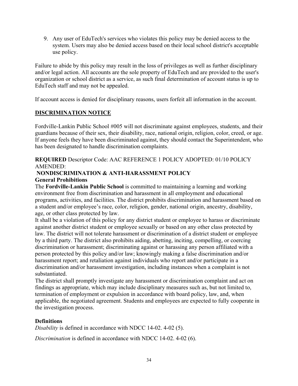9. Any user of EduTech's services who violates this policy may be denied access to the system. Users may also be denied access based on their local school district's acceptable use policy.

Failure to abide by this policy may result in the loss of privileges as well as further disciplinary and/or legal action. All accounts are the sole property of EduTech and are provided to the user's organization or school district as a service, as such final determination of account status is up to EduTech staff and may not be appealed.

If account access is denied for disciplinary reasons, users forfeit all information in the account.

#### **DISCRIMINATION NOTICE**

Fordville-Lankin Public School #005 will not discriminate against employees, students, and their guardians because of their sex, their disability, race, national origin, religion, color, creed, or age. If anyone feels they have been discriminated against, they should contact the Superintendent, who has been designated to handle discrimination complaints.

**REQUIRED** Descriptor Code: AAC REFERENCE 1 POLICY ADOPTED: 01/10 POLICY AMENDED:

#### **NONDISCRIMINATION & ANTI-HARASSMENT POLICY General Prohibitions**

The **Fordville-Lankin Public School** is committed to maintaining a learning and working environment free from discrimination and harassment in all employment and educational programs, activities, and facilities. The district prohibits discrimination and harassment based on a student and/or employee's race, color, religion, gender, national origin, ancestry, disability, age, or other class protected by law.

It shall be a violation of this policy for any district student or employee to harass or discriminate against another district student or employee sexually or based on any other class protected by law. The district will not tolerate harassment or discrimination of a district student or employee by a third party. The district also prohibits aiding, abetting, inciting, compelling, or coercing discrimination or harassment; discriminating against or harassing any person affiliated with a person protected by this policy and/or law; knowingly making a false discrimination and/or harassment report; and retaliation against individuals who report and/or participate in a discrimination and/or harassment investigation, including instances when a complaint is not substantiated.

The district shall promptly investigate any harassment or discrimination complaint and act on findings as appropriate, which may include disciplinary measures such as, but not limited to, termination of employment or expulsion in accordance with board policy, law, and, when applicable, the negotiated agreement. Students and employees are expected to fully cooperate in the investigation process.

#### **Definitions**

*Disability* is defined in accordance with NDCC 14-02. 4-02 (5).

*Discrimination* is defined in accordance with NDCC 14-02. 4-02 (6).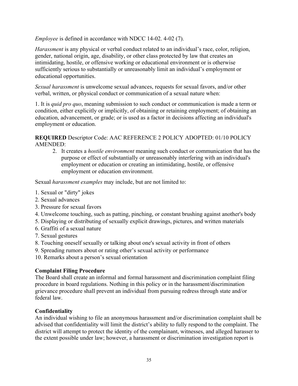*Employee* is defined in accordance with NDCC 14-02. 4-02 (7).

*Harassment* is any physical or verbal conduct related to an individual's race, color, religion, gender, national origin, age, disability, or other class protected by law that creates an intimidating, hostile, or offensive working or educational environment or is otherwise sufficiently serious to substantially or unreasonably limit an individual's employment or educational opportunities.

*Sexual harassment* is unwelcome sexual advances, requests for sexual favors, and/or other verbal, written, or physical conduct or communication of a sexual nature when:

1. It is *quid pro quo*, meaning submission to such conduct or communication is made a term or condition, either explicitly or implicitly, of obtaining or retaining employment; of obtaining an education, advancement, or grade; or is used as a factor in decisions affecting an individual's employment or education.

**REQUIRED** Descriptor Code: AAC REFERENCE 2 POLICY ADOPTED: 01/10 POLICY AMENDED:

2. It creates a *hostile environment* meaning such conduct or communication that has the purpose or effect of substantially or unreasonably interfering with an individual's employment or education or creating an intimidating, hostile, or offensive employment or education environment.

Sexual *harassment examples* may include, but are not limited to:

- 1. Sexual or "dirty" jokes
- 2. Sexual advances
- 3. Pressure for sexual favors
- 4. Unwelcome touching, such as patting, pinching, or constant brushing against another's body
- 5. Displaying or distributing of sexually explicit drawings, pictures, and written materials
- 6. Graffiti of a sexual nature
- 7. Sexual gestures

8. Touching oneself sexually or talking about one's sexual activity in front of others

9. Spreading rumors about or rating other's sexual activity or performance

10. Remarks about a person's sexual orientation

#### **Complaint Filing Procedure**

The Board shall create an informal and formal harassment and discrimination complaint filing procedure in board regulations. Nothing in this policy or in the harassment/discrimination grievance procedure shall prevent an individual from pursuing redress through state and/or federal law.

#### **Confidentiality**

An individual wishing to file an anonymous harassment and/or discrimination complaint shall be advised that confidentiality will limit the district's ability to fully respond to the complaint. The district will attempt to protect the identity of the complainant, witnesses, and alleged harasser to the extent possible under law; however, a harassment or discrimination investigation report is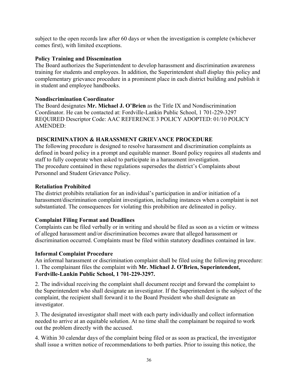subject to the open records law after 60 days or when the investigation is complete (whichever comes first), with limited exceptions.

#### **Policy Training and Dissemination**

The Board authorizes the Superintendent to develop harassment and discrimination awareness training for students and employees. In addition, the Superintendent shall display this policy and complementary grievance procedure in a prominent place in each district building and publish it in student and employee handbooks.

#### **Nondiscrimination Coordinator**

The Board designates **Mr. Michael J. O'Brien** as the Title IX and Nondiscrimination Coordinator. He can be contacted at: Fordville-Lankin Public School, 1 701-229-3297 REQUIRED Descriptor Code: AAC REFERENCE 3 POLICY ADOPTED: 01/10 POLICY AMENDED:

#### **DISCRIMINATION & HARASSMENT GRIEVANCE PROCEDURE**

The following procedure is designed to resolve harassment and discrimination complaints as defined in board policy in a prompt and equitable manner. Board policy requires all students and staff to fully cooperate when asked to participate in a harassment investigation. The procedure contained in these regulations supersedes the district's Complaints about Personnel and Student Grievance Policy.

#### **Retaliation Prohibited**

The district prohibits retaliation for an individual's participation in and/or initiation of a harassment/discrimination complaint investigation, including instances when a complaint is not substantiated. The consequences for violating this prohibition are delineated in policy.

#### **Complaint Filing Format and Deadlines**

Complaints can be filed verbally or in writing and should be filed as soon as a victim or witness of alleged harassment and/or discrimination becomes aware that alleged harassment or discrimination occurred. Complaints must be filed within statutory deadlines contained in law.

#### **Informal Complaint Procedure**

An informal harassment or discrimination complaint shall be filed using the following procedure: 1. The complainant files the complaint with **Mr. Michael J. O'Brien, Superintendent, Fordville-Lankin Public School, 1 701-229-3297.** 

2. The individual receiving the complaint shall document receipt and forward the complaint to the Superintendent who shall designate an investigator. If the Superintendent is the subject of the complaint, the recipient shall forward it to the Board President who shall designate an investigator.

3. The designated investigator shall meet with each party individually and collect information needed to arrive at an equitable solution. At no time shall the complainant be required to work out the problem directly with the accused.

4. Within 30 calendar days of the complaint being filed or as soon as practical, the investigator shall issue a written notice of recommendations to both parties. Prior to issuing this notice, the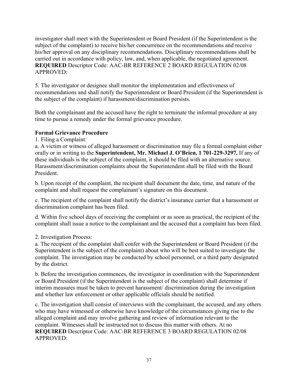investigator shall meet with the Superintendent or Board President (if the Superintendent is the subject of the complaint) to receive his/her concurrence on the recommendations and receive his/her approval on any disciplinary recommendations. Disciplinary recommendations shall be carried out in accordance with policy, law, and, when applicable, the negotiated agreement. **REQUIRED** Descriptor Code: AAC-BR REFERENCE 2 BOARD REGULATION 02/08 APPROVED:

5. The investigator or designee shall monitor the implementation and effectiveness of recommendations and shall notify the Superintendent or Board President (if the Superintendent is the subject of the complaint) if harassment/discrimination persists.

Both the complainant and the accused have the right to terminate the informal procedure at any time to pursue a remedy under the formal grievance procedure.

#### **Formal Grievance Procedure**

1. Filing a Complaint:

a. A victim or witness of alleged harassment or discrimination may file a formal complaint either orally or in writing to the **Superintendent, Mr. Michael J. O'Brien, 1 701-229-3297.** If any of these individuals is the subject of the complaint, it should be filed with an alternative source. Harassment/discrimination complaints about the Superintendent shall be filed with the Board President.

b. Upon receipt of the complaint, the recipient shall document the date, time, and nature of the complaint and shall request the complainant's signature on this document.

c. The recipient of the complaint shall notify the district's insurance carrier that a harassment or discrimination complaint has been filed.

d. Within five school days of receiving the complaint or as soon as practical, the recipient of the complaint shall issue a notice to the complainant and the accused that a complaint has been filed.

2. Investigation Process:

a. The recipient of the complaint shall confer with the Superintendent or Board President (if the Superintendent is the subject of the complaint) about who will be best suited to investigate the complaint. The investigation may be conducted by school personnel, or a third party designated by the district.

b. Before the investigation commences, the investigator in coordination with the Superintendent or Board President (if the Superintendent is the subject of the complaint) shall determine if interim measures must be taken to prevent harassment/ discrimination during the investigation and whether law enforcement or other applicable officials should be notified.

c. The investigation shall consist of interviews with the complainant, the accused, and any others who may have witnessed or otherwise have knowledge of the circumstances giving rise to the alleged complaint and may involve gathering and review of information relevant to the complaint. Witnesses shall be instructed not to discuss this matter with others. At no **REQUIRED** Descriptor Code: AAC-BR REFERENCE 3 BOARD REGULATION 02/08 APPROVED: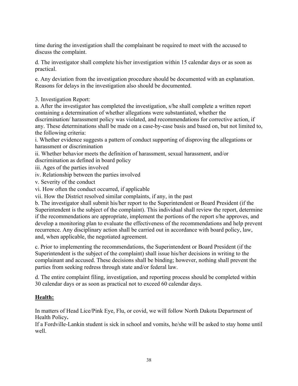time during the investigation shall the complainant be required to meet with the accused to discuss the complaint.

d. The investigator shall complete his/her investigation within 15 calendar days or as soon as practical.

e. Any deviation from the investigation procedure should be documented with an explanation. Reasons for delays in the investigation also should be documented.

3. Investigation Report:

a. After the investigator has completed the investigation, s/he shall complete a written report containing a determination of whether allegations were substantiated, whether the discrimination/ harassment policy was violated, and recommendations for corrective action, if any. These determinations shall be made on a case-by-case basis and based on, but not limited to, the following criteria:

i. Whether evidence suggests a pattern of conduct supporting of disproving the allegations or harassment or discrimination

ii. Whether behavior meets the definition of harassment, sexual harassment, and/or

discrimination as defined in board policy

iii. Ages of the parties involved

iv. Relationship between the parties involved

v. Severity of the conduct

vi. How often the conduct occurred, if applicable

vii. How the District resolved similar complaints, if any, in the past

b. The investigator shall submit his/her report to the Superintendent or Board President (if the Superintendent is the subject of the complaint). This individual shall review the report, determine if the recommendations are appropriate, implement the portions of the report s/he approves, and develop a monitoring plan to evaluate the effectiveness of the recommendations and help prevent recurrence. Any disciplinary action shall be carried out in accordance with board policy, law, and, when applicable, the negotiated agreement.

c. Prior to implementing the recommendations, the Superintendent or Board President (if the Superintendent is the subject of the complaint) shall issue his/her decisions in writing to the complainant and accused. These decisions shall be binding; however, nothing shall prevent the parties from seeking redress through state and/or federal law.

d. The entire complaint filing, investigation, and reporting process should be completed within 30 calendar days or as soon as practical not to exceed 60 calendar days.

#### **Health:**

In matters of Head Lice/Pink Eye, Flu, or covid, we will follow North Dakota Department of Health Policy**.**

If a Fordville-Lankin student is sick in school and vomits, he/she will be asked to stay home until well.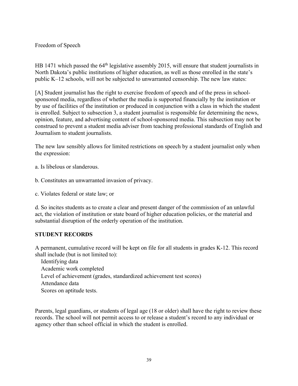#### Freedom of Speech

HB 1471 which passed the 64<sup>th</sup> legislative assembly 2015, will ensure that student journalists in North Dakota's public institutions of higher education, as well as those enrolled in the state's public K–12 schools, will not be subjected to unwarranted censorship. The new law states:

[A] Student journalist has the right to exercise freedom of speech and of the press in schoolsponsored media, regardless of whether the media is supported financially by the institution or by use of facilities of the institution or produced in conjunction with a class in which the student is enrolled. Subject to subsection 3, a student journalist is responsible for determining the news, opinion, feature, and advertising content of school-sponsored media. This subsection may not be construed to prevent a student media adviser from teaching professional standards of English and Journalism to student journalists.

The new law sensibly allows for limited restrictions on speech by a student journalist only when the expression:

a. Is libelous or slanderous.

b. Constitutes an unwarranted invasion of privacy.

c. Violates federal or state law; or

d. So incites students as to create a clear and present danger of the commission of an unlawful act, the violation of institution or state board of higher education policies, or the material and substantial disruption of the orderly operation of the institution.

#### **STUDENT RECORDS**

A permanent, cumulative record will be kept on file for all students in grades K-12. This record shall include (but is not limited to):

 Identifying data Academic work completed Level of achievement (grades, standardized achievement test scores) Attendance data Scores on aptitude tests.

Parents, legal guardians, or students of legal age (18 or older) shall have the right to review these records. The school will not permit access to or release a student's record to any individual or agency other than school official in which the student is enrolled.